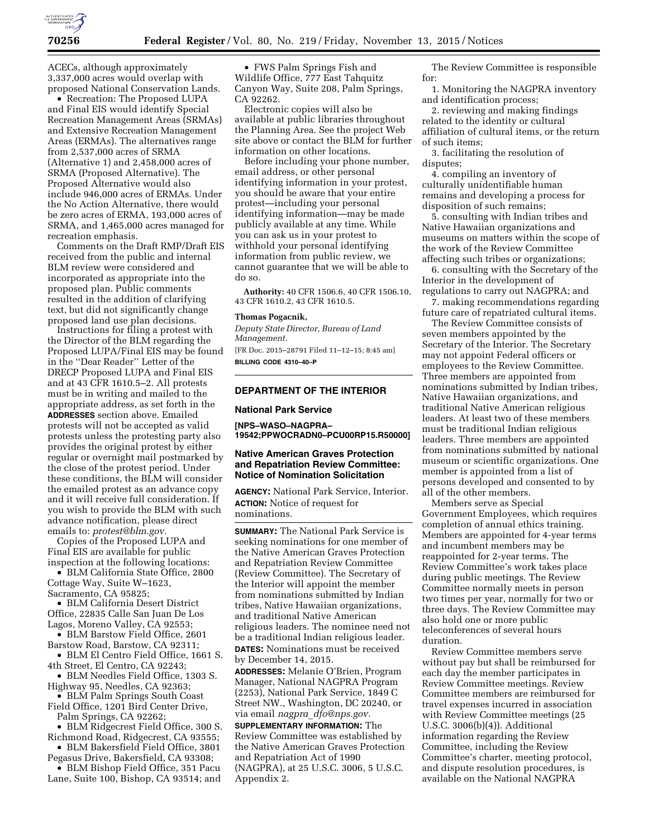

ACECs, although approximately 3,337,000 acres would overlap with proposed National Conservation Lands.

• Recreation: The Proposed LUPA and Final EIS would identify Special Recreation Management Areas (SRMAs) and Extensive Recreation Management Areas (ERMAs). The alternatives range from 2,537,000 acres of SRMA (Alternative 1) and 2,458,000 acres of SRMA (Proposed Alternative). The Proposed Alternative would also include 946,000 acres of ERMAs. Under the No Action Alternative, there would be zero acres of ERMA, 193,000 acres of SRMA, and 1,465,000 acres managed for recreation emphasis.

Comments on the Draft RMP/Draft EIS received from the public and internal BLM review were considered and incorporated as appropriate into the proposed plan. Public comments resulted in the addition of clarifying text, but did not significantly change proposed land use plan decisions.

Instructions for filing a protest with the Director of the BLM regarding the Proposed LUPA/Final EIS may be found in the ''Dear Reader'' Letter of the DRECP Proposed LUPA and Final EIS and at 43 CFR 1610.5–2. All protests must be in writing and mailed to the appropriate address, as set forth in the **ADDRESSES** section above. Emailed protests will not be accepted as valid protests unless the protesting party also provides the original protest by either regular or overnight mail postmarked by the close of the protest period. Under these conditions, the BLM will consider the emailed protest as an advance copy and it will receive full consideration. If you wish to provide the BLM with such advance notification, please direct emails to: *[protest@blm.gov.](mailto:protest@blm.gov)* 

Copies of the Proposed LUPA and Final EIS are available for public inspection at the following locations:

• BLM California State Office, 2800 Cottage Way, Suite W–1623, Sacramento, CA 95825;

• BLM California Desert District Office, 22835 Calle San Juan De Los

Lagos, Moreno Valley, CA 92553; • BLM Barstow Field Office, 2601

Barstow Road, Barstow, CA 92311; • BLM El Centro Field Office, 1661 S.

4th Street, El Centro, CA 92243; • BLM Needles Field Office, 1303 S.

Highway 95, Needles, CA 92363; • BLM Palm Springs South Coast

Field Office, 1201 Bird Center Drive, Palm Springs, CA 92262;

• BLM Ridgecrest Field Office, 300 S. Richmond Road, Ridgecrest, CA 93555;

• BLM Bakersfield Field Office, 3801 Pegasus Drive, Bakersfield, CA 93308;

• BLM Bishop Field Office, 351 Pacu Lane, Suite 100, Bishop, CA 93514; and

• FWS Palm Springs Fish and Wildlife Office, 777 East Tahquitz Canyon Way, Suite 208, Palm Springs, CA 92262.

Electronic copies will also be available at public libraries throughout the Planning Area. See the project Web site above or contact the BLM for further information on other locations.

Before including your phone number, email address, or other personal identifying information in your protest, you should be aware that your entire protest—including your personal identifying information—may be made publicly available at any time. While you can ask us in your protest to withhold your personal identifying information from public review, we cannot guarantee that we will be able to do so.

**Authority:** 40 CFR 1506.6, 40 CFR 1506.10, 43 CFR 1610.2, 43 CFR 1610.5.

#### **Thomas Pogacnik,**

*Deputy State Director, Bureau of Land Management.* 

[FR Doc. 2015–28791 Filed 11–12–15; 8:45 am] **BILLING CODE 4310–40–P** 

## **DEPARTMENT OF THE INTERIOR**

#### **National Park Service**

**[NPS–WASO–NAGPRA– 19542;PPWOCRADN0–PCU00RP15.R50000]** 

#### **Native American Graves Protection and Repatriation Review Committee: Notice of Nomination Solicitation**

**AGENCY:** National Park Service, Interior. **ACTION:** Notice of request for nominations.

**SUMMARY:** The National Park Service is seeking nominations for one member of the Native American Graves Protection and Repatriation Review Committee (Review Committee). The Secretary of the Interior will appoint the member from nominations submitted by Indian tribes, Native Hawaiian organizations, and traditional Native American religious leaders. The nominee need not be a traditional Indian religious leader. **DATES:** Nominations must be received by December 14, 2015.

**ADDRESSES:** Melanie O'Brien, Program Manager, National NAGPRA Program (2253), National Park Service, 1849 C Street NW., Washington, DC 20240, or via email *nagpra*\_*[dfo@nps.gov.](mailto:nagpra_dfo@nps.gov)* 

**SUPPLEMENTARY INFORMATION:** The Review Committee was established by the Native American Graves Protection and Repatriation Act of 1990 (NAGPRA), at 25 U.S.C. 3006, 5 U.S.C. Appendix 2.

The Review Committee is responsible for:

1. Monitoring the NAGPRA inventory and identification process;

2. reviewing and making findings related to the identity or cultural affiliation of cultural items, or the return of such items;

3. facilitating the resolution of disputes;

4. compiling an inventory of culturally unidentifiable human remains and developing a process for disposition of such remains;

5. consulting with Indian tribes and Native Hawaiian organizations and museums on matters within the scope of the work of the Review Committee affecting such tribes or organizations;

6. consulting with the Secretary of the Interior in the development of regulations to carry out NAGPRA; and

7. making recommendations regarding future care of repatriated cultural items.

The Review Committee consists of seven members appointed by the Secretary of the Interior. The Secretary may not appoint Federal officers or employees to the Review Committee. Three members are appointed from nominations submitted by Indian tribes, Native Hawaiian organizations, and traditional Native American religious leaders. At least two of these members must be traditional Indian religious leaders. Three members are appointed from nominations submitted by national museum or scientific organizations. One member is appointed from a list of persons developed and consented to by all of the other members.

Members serve as Special Government Employees, which requires completion of annual ethics training. Members are appointed for 4-year terms and incumbent members may be reappointed for 2-year terms. The Review Committee's work takes place during public meetings. The Review Committee normally meets in person two times per year, normally for two or three days. The Review Committee may also hold one or more public teleconferences of several hours duration.

Review Committee members serve without pay but shall be reimbursed for each day the member participates in Review Committee meetings. Review Committee members are reimbursed for travel expenses incurred in association with Review Committee meetings (25 U.S.C. 3006(b)(4)). Additional information regarding the Review Committee, including the Review Committee's charter, meeting protocol, and dispute resolution procedures, is available on the National NAGPRA